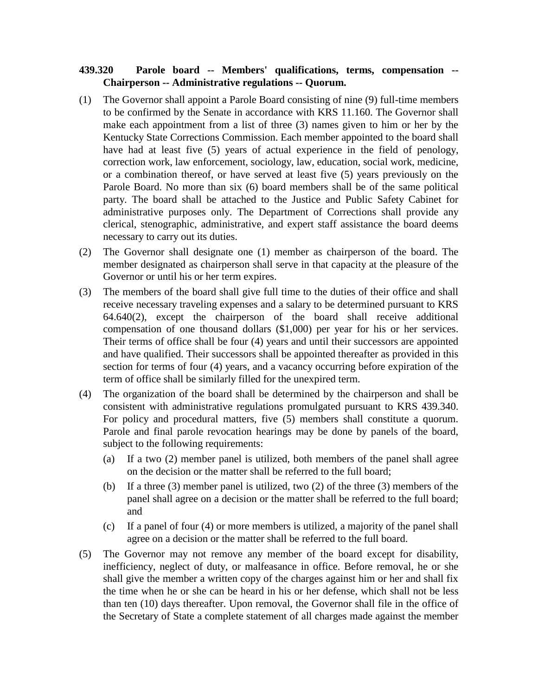## **439.320 Parole board -- Members' qualifications, terms, compensation -- Chairperson -- Administrative regulations -- Quorum.**

- (1) The Governor shall appoint a Parole Board consisting of nine (9) full-time members to be confirmed by the Senate in accordance with KRS 11.160. The Governor shall make each appointment from a list of three (3) names given to him or her by the Kentucky State Corrections Commission. Each member appointed to the board shall have had at least five (5) years of actual experience in the field of penology, correction work, law enforcement, sociology, law, education, social work, medicine, or a combination thereof, or have served at least five (5) years previously on the Parole Board. No more than six (6) board members shall be of the same political party. The board shall be attached to the Justice and Public Safety Cabinet for administrative purposes only. The Department of Corrections shall provide any clerical, stenographic, administrative, and expert staff assistance the board deems necessary to carry out its duties.
- (2) The Governor shall designate one (1) member as chairperson of the board. The member designated as chairperson shall serve in that capacity at the pleasure of the Governor or until his or her term expires.
- (3) The members of the board shall give full time to the duties of their office and shall receive necessary traveling expenses and a salary to be determined pursuant to KRS 64.640(2), except the chairperson of the board shall receive additional compensation of one thousand dollars (\$1,000) per year for his or her services. Their terms of office shall be four (4) years and until their successors are appointed and have qualified. Their successors shall be appointed thereafter as provided in this section for terms of four (4) years, and a vacancy occurring before expiration of the term of office shall be similarly filled for the unexpired term.
- (4) The organization of the board shall be determined by the chairperson and shall be consistent with administrative regulations promulgated pursuant to KRS 439.340. For policy and procedural matters, five (5) members shall constitute a quorum. Parole and final parole revocation hearings may be done by panels of the board, subject to the following requirements:
	- (a) If a two (2) member panel is utilized, both members of the panel shall agree on the decision or the matter shall be referred to the full board;
	- (b) If a three (3) member panel is utilized, two (2) of the three (3) members of the panel shall agree on a decision or the matter shall be referred to the full board; and
	- (c) If a panel of four (4) or more members is utilized, a majority of the panel shall agree on a decision or the matter shall be referred to the full board.
- (5) The Governor may not remove any member of the board except for disability, inefficiency, neglect of duty, or malfeasance in office. Before removal, he or she shall give the member a written copy of the charges against him or her and shall fix the time when he or she can be heard in his or her defense, which shall not be less than ten (10) days thereafter. Upon removal, the Governor shall file in the office of the Secretary of State a complete statement of all charges made against the member